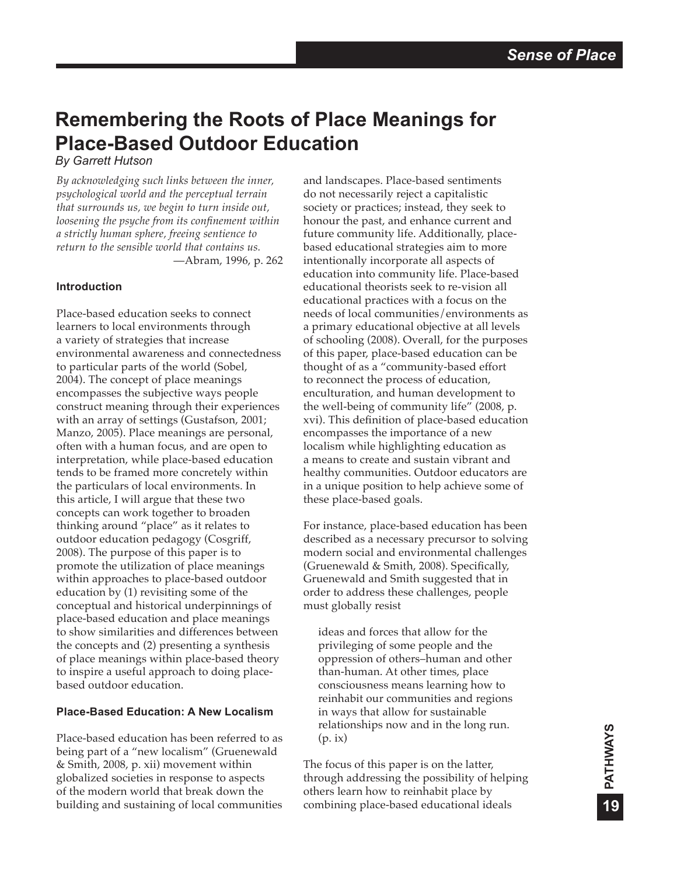# **Remembering the Roots of Place Meanings for Place-Based Outdoor Education**

*By Garrett Hutson*

*By acknowledging such links between the inner, psychological world and the perceptual terrain that surrounds us, we begin to turn inside out, loosening the psyche from its confinement within a strictly human sphere, freeing sentience to return to the sensible world that contains us.* —Abram, 1996, p. 262

## **Introduction**

Place-based education seeks to connect learners to local environments through a variety of strategies that increase environmental awareness and connectedness to particular parts of the world (Sobel, 2004). The concept of place meanings encompasses the subjective ways people construct meaning through their experiences with an array of settings (Gustafson, 2001; Manzo, 2005). Place meanings are personal, often with a human focus, and are open to interpretation, while place-based education tends to be framed more concretely within the particulars of local environments. In this article, I will argue that these two concepts can work together to broaden thinking around "place" as it relates to outdoor education pedagogy (Cosgriff, 2008). The purpose of this paper is to promote the utilization of place meanings within approaches to place-based outdoor education by (1) revisiting some of the conceptual and historical underpinnings of place-based education and place meanings to show similarities and differences between the concepts and (2) presenting a synthesis of place meanings within place-based theory to inspire a useful approach to doing placebased outdoor education.

## **Place-Based Education: A New Localism**

Place-based education has been referred to as being part of a "new localism" (Gruenewald & Smith, 2008, p. xii) movement within globalized societies in response to aspects of the modern world that break down the building and sustaining of local communities

and landscapes. Place-based sentiments do not necessarily reject a capitalistic society or practices; instead, they seek to honour the past, and enhance current and future community life. Additionally, placebased educational strategies aim to more intentionally incorporate all aspects of education into community life. Place-based educational theorists seek to re-vision all educational practices with a focus on the needs of local communities/environments as a primary educational objective at all levels of schooling (2008). Overall, for the purposes of this paper, place-based education can be thought of as a "community-based effort to reconnect the process of education, enculturation, and human development to the well-being of community life" (2008, p. xvi). This definition of place-based education encompasses the importance of a new localism while highlighting education as a means to create and sustain vibrant and healthy communities. Outdoor educators are in a unique position to help achieve some of these place-based goals.

For instance, place-based education has been described as a necessary precursor to solving modern social and environmental challenges (Gruenewald & Smith, 2008). Specifically, Gruenewald and Smith suggested that in order to address these challenges, people must globally resist

ideas and forces that allow for the privileging of some people and the oppression of others–human and other than-human. At other times, place consciousness means learning how to reinhabit our communities and regions in ways that allow for sustainable relationships now and in the long run. (p. ix)

The focus of this paper is on the latter, through addressing the possibility of helping others learn how to reinhabit place by combining place-based educational ideals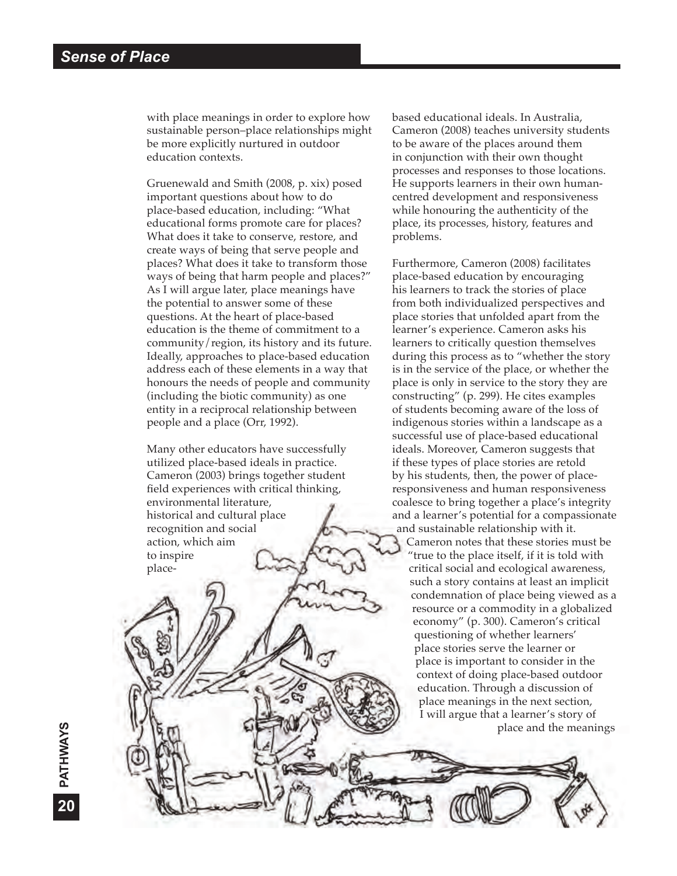with place meanings in order to explore how sustainable person–place relationships might be more explicitly nurtured in outdoor education contexts.

Gruenewald and Smith (2008, p. xix) posed important questions about how to do place-based education, including: "What educational forms promote care for places? What does it take to conserve, restore, and create ways of being that serve people and places? What does it take to transform those ways of being that harm people and places?" As I will argue later, place meanings have the potential to answer some of these questions. At the heart of place-based education is the theme of commitment to a community/region, its history and its future. Ideally, approaches to place-based education address each of these elements in a way that honours the needs of people and community (including the biotic community) as one entity in a reciprocal relationship between people and a place (Orr, 1992).

Many other educators have successfully utilized place-based ideals in practice. Cameron (2003) brings together student field experiences with critical thinking, environmental literature, historical and cultural place recognition and social action, which aim to inspire placebased educational ideals. In Australia, Cameron (2008) teaches university students to be aware of the places around them in conjunction with their own thought processes and responses to those locations. He supports learners in their own humancentred development and responsiveness while honouring the authenticity of the place, its processes, history, features and problems.

Furthermore, Cameron (2008) facilitates place-based education by encouraging his learners to track the stories of place from both individualized perspectives and place stories that unfolded apart from the learner's experience. Cameron asks his learners to critically question themselves during this process as to "whether the story is in the service of the place, or whether the place is only in service to the story they are constructing" (p. 299). He cites examples of students becoming aware of the loss of indigenous stories within a landscape as a successful use of place-based educational ideals. Moreover, Cameron suggests that if these types of place stories are retold by his students, then, the power of placeresponsiveness and human responsiveness coalesce to bring together a place's integrity and a learner's potential for a compassionate and sustainable relationship with it. Cameron notes that these stories must be "true to the place itself, if it is told with critical social and ecological awareness, such a story contains at least an implicit condemnation of place being viewed as a resource or a commodity in a globalized economy" (p. 300). Cameron's critical questioning of whether learners' place stories serve the learner or place is important to consider in the context of doing place-based outdoor education. Through a discussion of place meanings in the next section, I will argue that a learner's story of place and the meanings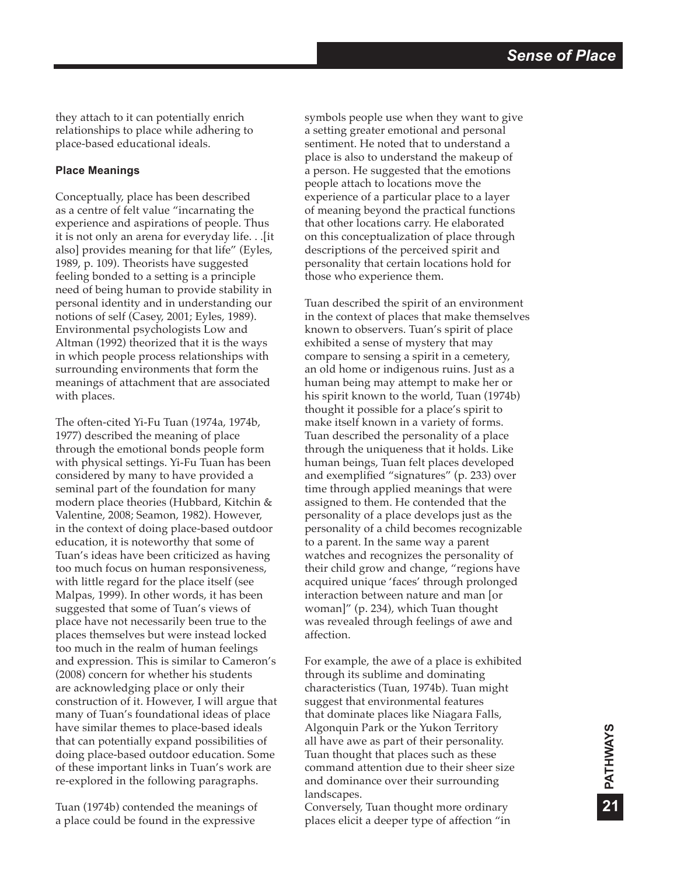they attach to it can potentially enrich relationships to place while adhering to place-based educational ideals.

### **Place Meanings**

Conceptually, place has been described as a centre of felt value "incarnating the experience and aspirations of people. Thus it is not only an arena for everyday life. . .[it also] provides meaning for that life" (Eyles, 1989, p. 109). Theorists have suggested feeling bonded to a setting is a principle need of being human to provide stability in personal identity and in understanding our notions of self (Casey, 2001; Eyles, 1989). Environmental psychologists Low and Altman (1992) theorized that it is the ways in which people process relationships with surrounding environments that form the meanings of attachment that are associated with places.

The often-cited Yi-Fu Tuan (1974a, 1974b, 1977) described the meaning of place through the emotional bonds people form with physical settings. Yi-Fu Tuan has been considered by many to have provided a seminal part of the foundation for many modern place theories (Hubbard, Kitchin & Valentine, 2008; Seamon, 1982). However, in the context of doing place-based outdoor education, it is noteworthy that some of Tuan's ideas have been criticized as having too much focus on human responsiveness, with little regard for the place itself (see Malpas, 1999). In other words, it has been suggested that some of Tuan's views of place have not necessarily been true to the places themselves but were instead locked too much in the realm of human feelings and expression. This is similar to Cameron's (2008) concern for whether his students are acknowledging place or only their construction of it. However, I will argue that many of Tuan's foundational ideas of place have similar themes to place-based ideals that can potentially expand possibilities of doing place-based outdoor education. Some of these important links in Tuan's work are re-explored in the following paragraphs.

Tuan (1974b) contended the meanings of a place could be found in the expressive

symbols people use when they want to give a setting greater emotional and personal sentiment. He noted that to understand a place is also to understand the makeup of a person. He suggested that the emotions people attach to locations move the experience of a particular place to a layer of meaning beyond the practical functions that other locations carry. He elaborated on this conceptualization of place through descriptions of the perceived spirit and personality that certain locations hold for those who experience them.

Tuan described the spirit of an environment in the context of places that make themselves known to observers. Tuan's spirit of place exhibited a sense of mystery that may compare to sensing a spirit in a cemetery, an old home or indigenous ruins. Just as a human being may attempt to make her or his spirit known to the world, Tuan (1974b) thought it possible for a place's spirit to make itself known in a variety of forms. Tuan described the personality of a place through the uniqueness that it holds. Like human beings, Tuan felt places developed and exemplified "signatures" (p. 233) over time through applied meanings that were assigned to them. He contended that the personality of a place develops just as the personality of a child becomes recognizable to a parent. In the same way a parent watches and recognizes the personality of their child grow and change, "regions have acquired unique 'faces' through prolonged interaction between nature and man [or woman]" (p. 234), which Tuan thought was revealed through feelings of awe and affection.

For example, the awe of a place is exhibited through its sublime and dominating characteristics (Tuan, 1974b). Tuan might suggest that environmental features that dominate places like Niagara Falls, Algonquin Park or the Yukon Territory all have awe as part of their personality. Tuan thought that places such as these command attention due to their sheer size and dominance over their surrounding landscapes.

Conversely, Tuan thought more ordinary places elicit a deeper type of affection "in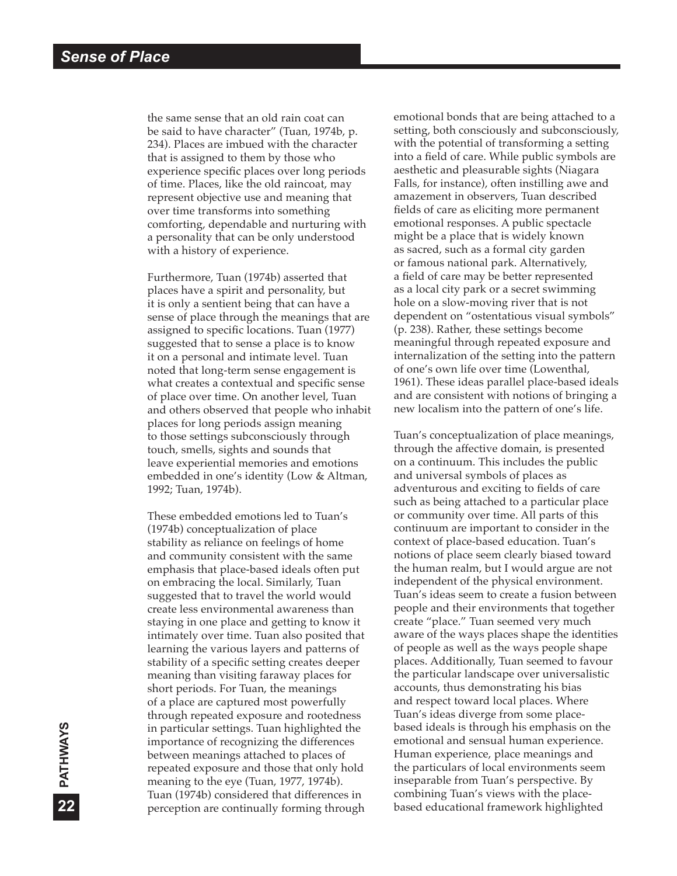the same sense that an old rain coat can be said to have character" (Tuan, 1974b, p. 234). Places are imbued with the character that is assigned to them by those who experience specific places over long periods of time. Places, like the old raincoat, may represent objective use and meaning that over time transforms into something comforting, dependable and nurturing with a personality that can be only understood with a history of experience.

Furthermore, Tuan (1974b) asserted that places have a spirit and personality, but it is only a sentient being that can have a sense of place through the meanings that are assigned to specific locations. Tuan (1977) suggested that to sense a place is to know it on a personal and intimate level. Tuan noted that long-term sense engagement is what creates a contextual and specific sense of place over time. On another level, Tuan and others observed that people who inhabit places for long periods assign meaning to those settings subconsciously through touch, smells, sights and sounds that leave experiential memories and emotions embedded in one's identity (Low & Altman, 1992; Tuan, 1974b).

These embedded emotions led to Tuan's (1974b) conceptualization of place stability as reliance on feelings of home and community consistent with the same emphasis that place-based ideals often put on embracing the local. Similarly, Tuan suggested that to travel the world would create less environmental awareness than staying in one place and getting to know it intimately over time. Tuan also posited that learning the various layers and patterns of stability of a specific setting creates deeper meaning than visiting faraway places for short periods. For Tuan, the meanings of a place are captured most powerfully through repeated exposure and rootedness in particular settings. Tuan highlighted the importance of recognizing the differences between meanings attached to places of repeated exposure and those that only hold meaning to the eye (Tuan, 1977, 1974b). Tuan (1974b) considered that differences in perception are continually forming through

emotional bonds that are being attached to a setting, both consciously and subconsciously, with the potential of transforming a setting into a field of care. While public symbols are aesthetic and pleasurable sights (Niagara Falls, for instance), often instilling awe and amazement in observers, Tuan described fields of care as eliciting more permanent emotional responses. A public spectacle might be a place that is widely known as sacred, such as a formal city garden or famous national park. Alternatively, a field of care may be better represented as a local city park or a secret swimming hole on a slow-moving river that is not dependent on "ostentatious visual symbols" (p. 238). Rather, these settings become meaningful through repeated exposure and internalization of the setting into the pattern of one's own life over time (Lowenthal, 1961). These ideas parallel place-based ideals and are consistent with notions of bringing a new localism into the pattern of one's life.

Tuan's conceptualization of place meanings, through the affective domain, is presented on a continuum. This includes the public and universal symbols of places as adventurous and exciting to fields of care such as being attached to a particular place or community over time. All parts of this continuum are important to consider in the context of place-based education. Tuan's notions of place seem clearly biased toward the human realm, but I would argue are not independent of the physical environment. Tuan's ideas seem to create a fusion between people and their environments that together create "place." Tuan seemed very much aware of the ways places shape the identities of people as well as the ways people shape places. Additionally, Tuan seemed to favour the particular landscape over universalistic accounts, thus demonstrating his bias and respect toward local places. Where Tuan's ideas diverge from some placebased ideals is through his emphasis on the emotional and sensual human experience. Human experience, place meanings and the particulars of local environments seem inseparable from Tuan's perspective. By combining Tuan's views with the placebased educational framework highlighted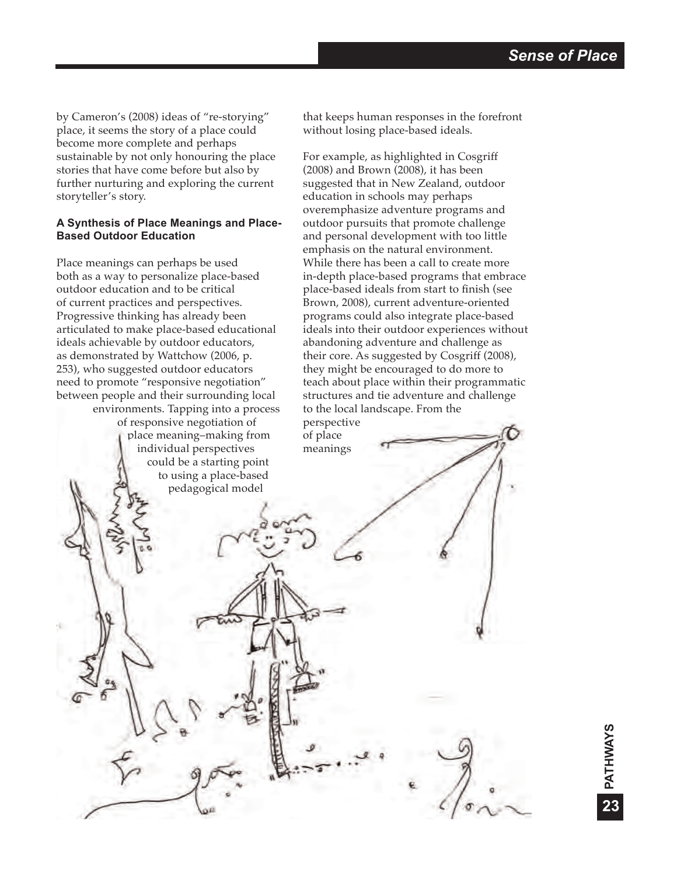**PATHWAYS**

PATHWAYS

**23**

by Cameron's (2008) ideas of "re-storying" place, it seems the story of a place could become more complete and perhaps sustainable by not only honouring the place stories that have come before but also by further nurturing and exploring the current storyteller's story.

## **A Synthesis of Place Meanings and Place-Based Outdoor Education**

Place meanings can perhaps be used both as a way to personalize place-based outdoor education and to be critical of current practices and perspectives. Progressive thinking has already been articulated to make place-based educational ideals achievable by outdoor educators, as demonstrated by Wattchow (2006, p. 253), who suggested outdoor educators need to promote "responsive negotiation" between people and their surrounding local environments. Tapping into a process of responsive negotiation of place meaning–making from individual perspectives could be a starting point to using a place-based pedagogical model

that keeps human responses in the forefront without losing place-based ideals.

For example, as highlighted in Cosgriff (2008) and Brown (2008), it has been suggested that in New Zealand, outdoor education in schools may perhaps overemphasize adventure programs and outdoor pursuits that promote challenge and personal development with too little emphasis on the natural environment. While there has been a call to create more in-depth place-based programs that embrace place-based ideals from start to finish (see Brown, 2008), current adventure-oriented programs could also integrate place-based ideals into their outdoor experiences without abandoning adventure and challenge as their core. As suggested by Cosgriff (2008), they might be encouraged to do more to teach about place within their programmatic structures and tie adventure and challenge to the local landscape. From the perspective

of place meanings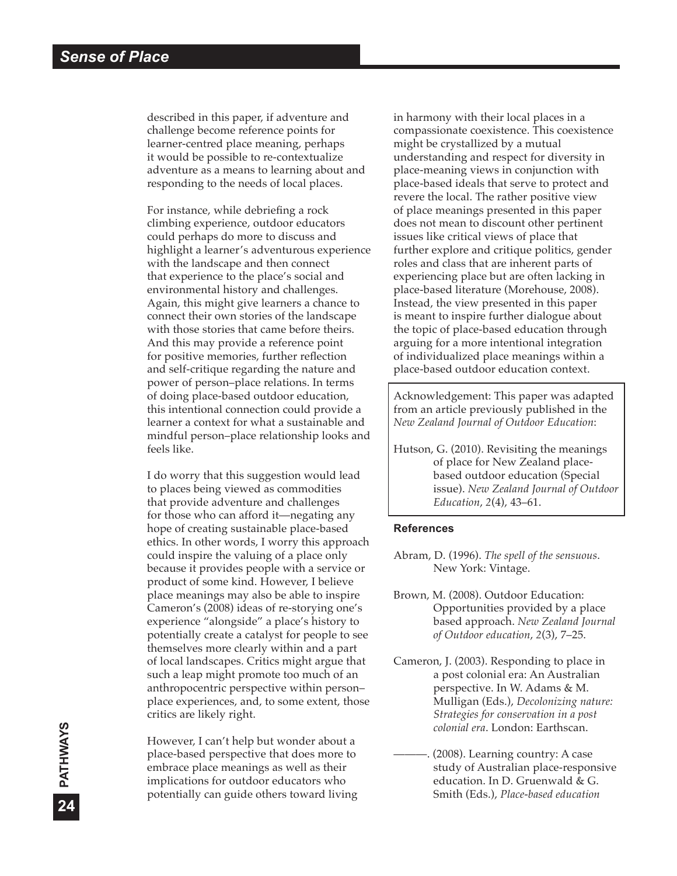described in this paper, if adventure and challenge become reference points for learner-centred place meaning, perhaps it would be possible to re-contextualize adventure as a means to learning about and responding to the needs of local places.

For instance, while debriefing a rock climbing experience, outdoor educators could perhaps do more to discuss and highlight a learner's adventurous experience with the landscape and then connect that experience to the place's social and environmental history and challenges. Again, this might give learners a chance to connect their own stories of the landscape with those stories that came before theirs. And this may provide a reference point for positive memories, further reflection and self-critique regarding the nature and power of person–place relations. In terms of doing place-based outdoor education, this intentional connection could provide a learner a context for what a sustainable and mindful person–place relationship looks and feels like.

I do worry that this suggestion would lead to places being viewed as commodities that provide adventure and challenges for those who can afford it—negating any hope of creating sustainable place-based ethics. In other words, I worry this approach could inspire the valuing of a place only because it provides people with a service or product of some kind. However, I believe place meanings may also be able to inspire Cameron's (2008) ideas of re-storying one's experience "alongside" a place's history to potentially create a catalyst for people to see themselves more clearly within and a part of local landscapes. Critics might argue that such a leap might promote too much of an anthropocentric perspective within person– place experiences, and, to some extent, those critics are likely right.

However, I can't help but wonder about a place-based perspective that does more to embrace place meanings as well as their implications for outdoor educators who potentially can guide others toward living in harmony with their local places in a compassionate coexistence. This coexistence might be crystallized by a mutual understanding and respect for diversity in place-meaning views in conjunction with place-based ideals that serve to protect and revere the local. The rather positive view of place meanings presented in this paper does not mean to discount other pertinent issues like critical views of place that further explore and critique politics, gender roles and class that are inherent parts of experiencing place but are often lacking in place-based literature (Morehouse, 2008). Instead, the view presented in this paper is meant to inspire further dialogue about the topic of place-based education through arguing for a more intentional integration of individualized place meanings within a place-based outdoor education context.

Acknowledgement: This paper was adapted from an article previously published in the *New Zealand Journal of Outdoor Education*:

Hutson, G. (2010). Revisiting the meanings of place for New Zealand placebased outdoor education (Special issue). *New Zealand Journal of Outdoor Education*, *2*(4), 43–61.

#### **References**

- Abram, D. (1996). *The spell of the sensuous*. New York: Vintage.
- Brown, M. (2008). Outdoor Education: Opportunities provided by a place based approach. *New Zealand Journal of Outdoor education*, *2*(3), 7–25.
- Cameron, J. (2003). Responding to place in a post colonial era: An Australian perspective. In W. Adams & M. Mulligan (Eds.), *Decolonizing nature: Strategies for conservation in a post colonial era*. London: Earthscan.
- $(2008)$ . Learning country: A case study of Australian place-responsive education. In D. Gruenwald & G. Smith (Eds.), *Place-based education*